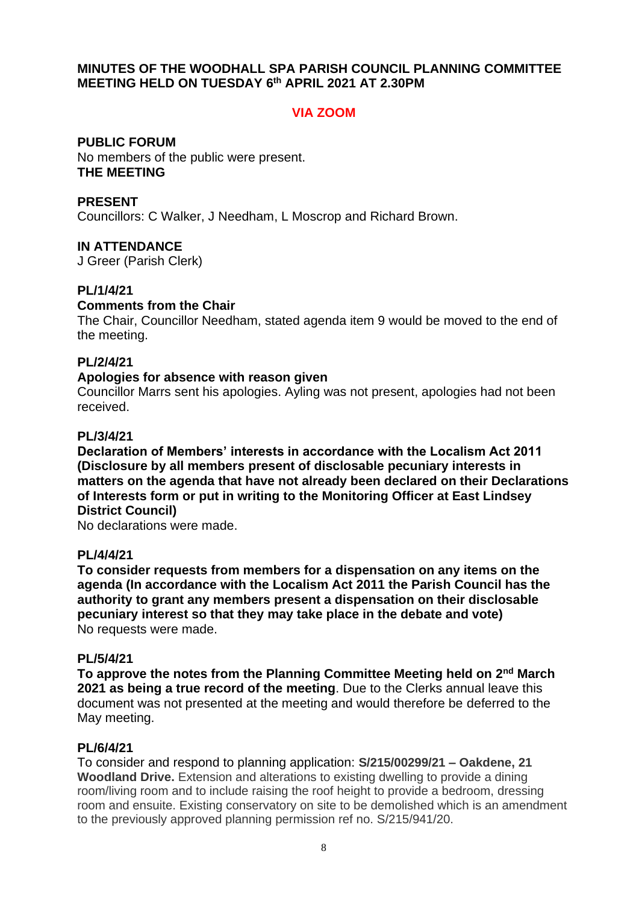### **MINUTES OF THE WOODHALL SPA PARISH COUNCIL PLANNING COMMITTEE MEETING HELD ON TUESDAY 6 th APRIL 2021 AT 2.30PM**

## **VIA ZOOM**

**PUBLIC FORUM** No members of the public were present. **THE MEETING**

### **PRESENT**

Councillors: C Walker, J Needham, L Moscrop and Richard Brown.

## **IN ATTENDANCE**

J Greer (Parish Clerk)

### **PL/1/4/21**

## **Comments from the Chair**

The Chair, Councillor Needham, stated agenda item 9 would be moved to the end of the meeting.

## **PL/2/4/21**

#### **Apologies for absence with reason given**

Councillor Marrs sent his apologies. Ayling was not present, apologies had not been received.

### **PL/3/4/21**

**Declaration of Members' interests in accordance with the Localism Act 2011 (Disclosure by all members present of disclosable pecuniary interests in matters on the agenda that have not already been declared on their Declarations of Interests form or put in writing to the Monitoring Officer at East Lindsey District Council)**

No declarations were made.

### **PL/4/4/21**

**To consider requests from members for a dispensation on any items on the agenda (In accordance with the Localism Act 2011 the Parish Council has the authority to grant any members present a dispensation on their disclosable pecuniary interest so that they may take place in the debate and vote)** No requests were made.

### **PL/5/4/21**

To approve the notes from the Planning Committee Meeting held on 2<sup>nd</sup> March **2021 as being a true record of the meeting**. Due to the Clerks annual leave this document was not presented at the meeting and would therefore be deferred to the May meeting.

### **PL/6/4/21**

To consider and respond to planning application: **S/215/00299/21 – Oakdene, 21 Woodland Drive.** Extension and alterations to existing dwelling to provide a dining room/living room and to include raising the roof height to provide a bedroom, dressing room and ensuite. Existing conservatory on site to be demolished which is an amendment to the previously approved planning permission ref no. S/215/941/20.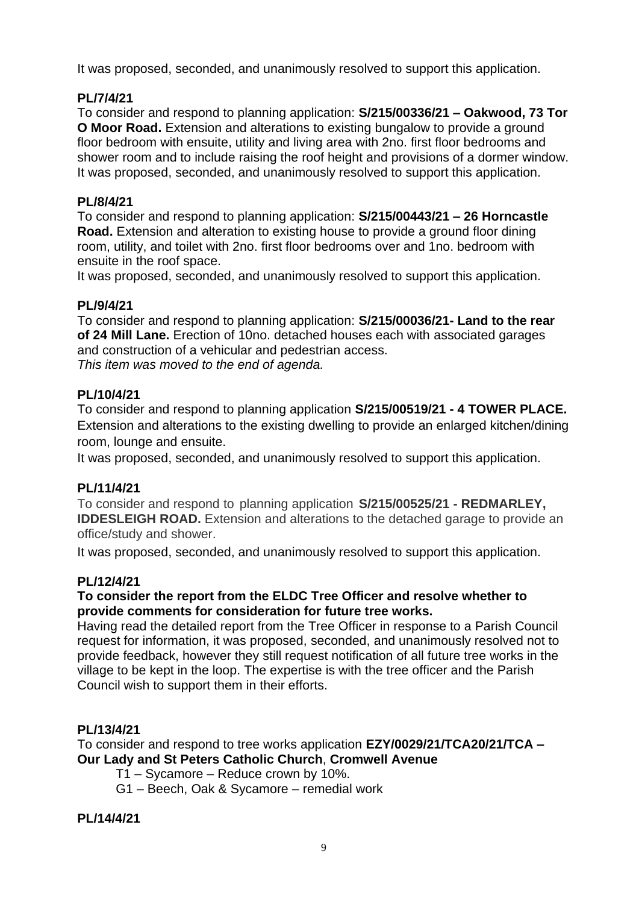It was proposed, seconded, and unanimously resolved to support this application.

# **PL/7/4/21**

To consider and respond to planning application: **S/215/00336/21 – Oakwood, 73 Tor O Moor Road.** Extension and alterations to existing bungalow to provide a ground floor bedroom with ensuite, utility and living area with 2no. first floor bedrooms and shower room and to include raising the roof height and provisions of a dormer window. It was proposed, seconded, and unanimously resolved to support this application.

## **PL/8/4/21**

To consider and respond to planning application: **S/215/00443/21 – 26 Horncastle Road.** Extension and alteration to existing house to provide a ground floor dining room, utility, and toilet with 2no. first floor bedrooms over and 1no. bedroom with ensuite in the roof space.

It was proposed, seconded, and unanimously resolved to support this application.

## **PL/9/4/21**

To consider and respond to planning application: **S/215/00036/21- Land to the rear of 24 Mill Lane.** Erection of 10no. detached houses each with associated garages and construction of a vehicular and pedestrian access. *This item was moved to the end of agenda.*

## **PL/10/4/21**

To consider and respond to planning application **S/215/00519/21 - 4 TOWER PLACE.**  Extension and alterations to the existing dwelling to provide an enlarged kitchen/dining room, lounge and ensuite.

It was proposed, seconded, and unanimously resolved to support this application.

## **PL/11/4/21**

To consider and respond to planning application **S/215/00525/21 - REDMARLEY, IDDESLEIGH ROAD.** Extension and alterations to the detached garage to provide an office/study and shower.

It was proposed, seconded, and unanimously resolved to support this application.

## **PL/12/4/21**

## **To consider the report from the ELDC Tree Officer and resolve whether to provide comments for consideration for future tree works.**

Having read the detailed report from the Tree Officer in response to a Parish Council request for information, it was proposed, seconded, and unanimously resolved not to provide feedback, however they still request notification of all future tree works in the village to be kept in the loop. The expertise is with the tree officer and the Parish Council wish to support them in their efforts.

## **PL/13/4/21**

To consider and respond to tree works application **EZY/0029/21/TCA20/21/TCA – Our Lady and St Peters Catholic Church**, **Cromwell Avenue**

- T1 Sycamore Reduce crown by 10%.
- G1 Beech, Oak & Sycamore remedial work

## **PL/14/4/21**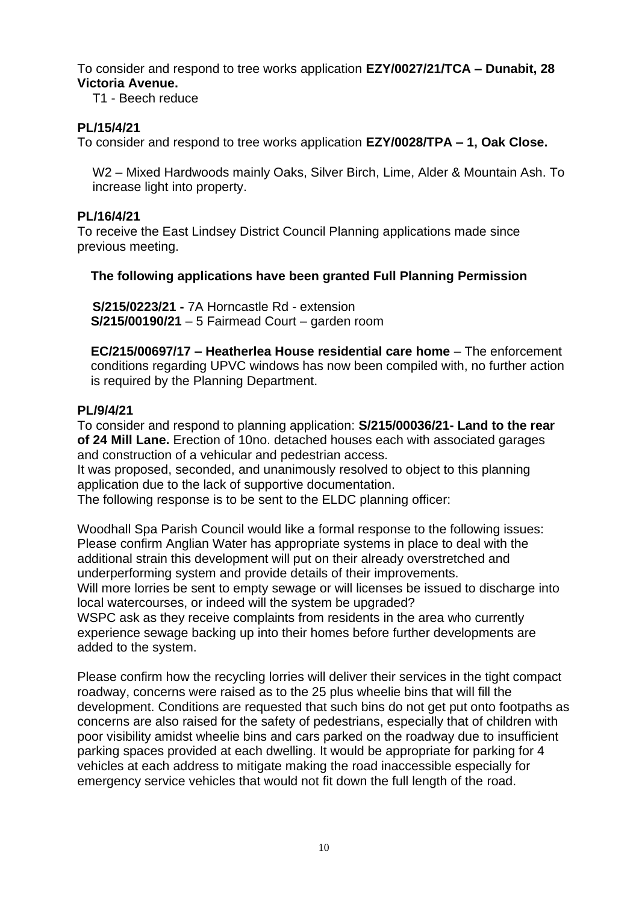To consider and respond to tree works application **EZY/0027/21/TCA – Dunabit, 28 Victoria Avenue.** 

T1 - Beech reduce

## **PL/15/4/21**

To consider and respond to tree works application **EZY/0028/TPA – 1, Oak Close.** 

W2 – Mixed Hardwoods mainly Oaks, Silver Birch, Lime, Alder & Mountain Ash. To increase light into property.

### **PL/16/4/21**

To receive the East Lindsey District Council Planning applications made since previous meeting.

## **The following applications have been granted Full Planning Permission**

**S/215/0223/21 -** 7A Horncastle Rd - extension **S/215/00190/21** – 5 Fairmead Court – garden room

**EC/215/00697/17 – Heatherlea House residential care home** – The enforcement conditions regarding UPVC windows has now been compiled with, no further action is required by the Planning Department.

## **PL/9/4/21**

To consider and respond to planning application: **S/215/00036/21- Land to the rear of 24 Mill Lane.** Erection of 10no. detached houses each with associated garages and construction of a vehicular and pedestrian access.

It was proposed, seconded, and unanimously resolved to object to this planning application due to the lack of supportive documentation.

The following response is to be sent to the ELDC planning officer:

Woodhall Spa Parish Council would like a formal response to the following issues: Please confirm Anglian Water has appropriate systems in place to deal with the additional strain this development will put on their already overstretched and underperforming system and provide details of their improvements.

Will more lorries be sent to empty sewage or will licenses be issued to discharge into local watercourses, or indeed will the system be upgraded?

WSPC ask as they receive complaints from residents in the area who currently experience sewage backing up into their homes before further developments are added to the system.

Please confirm how the recycling lorries will deliver their services in the tight compact roadway, concerns were raised as to the 25 plus wheelie bins that will fill the development. Conditions are requested that such bins do not get put onto footpaths as concerns are also raised for the safety of pedestrians, especially that of children with poor visibility amidst wheelie bins and cars parked on the roadway due to insufficient parking spaces provided at each dwelling. It would be appropriate for parking for 4 vehicles at each address to mitigate making the road inaccessible especially for emergency service vehicles that would not fit down the full length of the road.